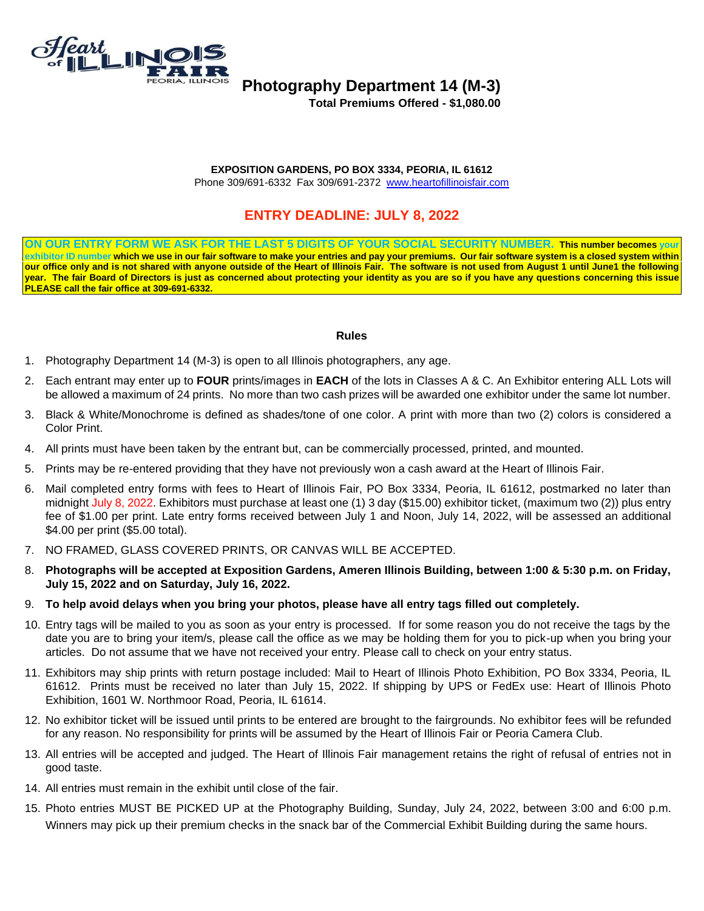

# **Photography Department 14 (M-3)**

 **Total Premiums Offered - \$1,080.00** 

### **EXPOSITION GARDENS, PO BOX 3334, PEORIA, IL 61612**

Phone 309/691-6332 Fax 309/691-2372 [www.heartofillinoisfair.com](http://www.heartofillinoisfair.com/)

## **ENTRY DEADLINE: JULY 8, 2022**

**ON OUR ENTRY FORM WE ASK FOR THE LAST 5 DIGITS OF YOUR SOCIAL SECURITY NUMBER. This number becomes your**  exhibitor ID number which we use in our fair software to make your entries and pay your premiums. Our fair software system is a closed system within **our office only and is not shared with anyone outside of the Heart of Illinois Fair. The software is not used from August 1 until June1 the following year. The fair Board of Directors is just as concerned about protecting your identity as you are so if you have any questions concerning this issue PLEASE call the fair office at 309-691-6332.**

#### **Rules**

- 1. Photography Department 14 (M-3) is open to all Illinois photographers, any age.
- 2. Each entrant may enter up to **FOUR** prints/images in **EACH** of the lots in Classes A & C. An Exhibitor entering ALL Lots will be allowed a maximum of 24 prints. No more than two cash prizes will be awarded one exhibitor under the same lot number.
- 3. Black & White/Monochrome is defined as shades/tone of one color. A print with more than two (2) colors is considered a Color Print.
- 4. All prints must have been taken by the entrant but, can be commercially processed, printed, and mounted.
- 5. Prints may be re-entered providing that they have not previously won a cash award at the Heart of Illinois Fair.
- 6. Mail completed entry forms with fees to Heart of Illinois Fair, PO Box 3334, Peoria, IL 61612, postmarked no later than midnight July 8, 2022. Exhibitors must purchase at least one (1) 3 day (\$15.00) exhibitor ticket, (maximum two (2)) plus entry fee of \$1.00 per print. Late entry forms received between July 1 and Noon, July 14, 2022, will be assessed an additional \$4.00 per print (\$5.00 total).
- 7. NO FRAMED, GLASS COVERED PRINTS, OR CANVAS WILL BE ACCEPTED.
- 8. **Photographs will be accepted at Exposition Gardens, Ameren Illinois Building, between 1:00 & 5:30 p.m. on Friday, July 15, 2022 and on Saturday, July 16, 2022.**
- 9. **To help avoid delays when you bring your photos, please have all entry tags filled out completely.**
- 10. Entry tags will be mailed to you as soon as your entry is processed. If for some reason you do not receive the tags by the date you are to bring your item/s, please call the office as we may be holding them for you to pick-up when you bring your articles. Do not assume that we have not received your entry. Please call to check on your entry status.
- 11. Exhibitors may ship prints with return postage included: Mail to Heart of Illinois Photo Exhibition, PO Box 3334, Peoria, IL 61612. Prints must be received no later than July 15, 2022. If shipping by UPS or FedEx use: Heart of Illinois Photo Exhibition, 1601 W. Northmoor Road, Peoria, IL 61614.
- 12. No exhibitor ticket will be issued until prints to be entered are brought to the fairgrounds. No exhibitor fees will be refunded for any reason. No responsibility for prints will be assumed by the Heart of Illinois Fair or Peoria Camera Club.
- 13. All entries will be accepted and judged. The Heart of Illinois Fair management retains the right of refusal of entries not in good taste.
- 14. All entries must remain in the exhibit until close of the fair.
- 15. Photo entries MUST BE PICKED UP at the Photography Building, Sunday, July 24, 2022, between 3:00 and 6:00 p.m. Winners may pick up their premium checks in the snack bar of the Commercial Exhibit Building during the same hours.